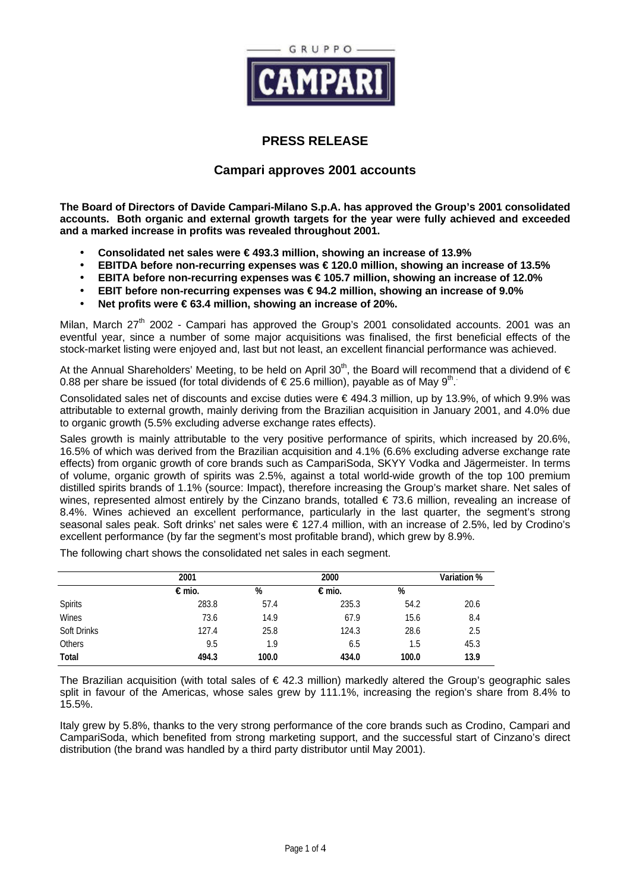

# **PRESS RELEASE**

# **Campari approves 2001 accounts**

**The Board of Directors of Davide Campari-Milano S.p.A. has approved the Group's 2001 consolidated accounts. Both organic and external growth targets for the year were fully achieved and exceeded and a marked increase in profits was revealed throughout 2001.**

- **Consolidated net sales were € 493.3 million, showing an increase of 13.9%**
- **EBITDA before non-recurring expenses was € 120.0 million, showing an increase of 13.5%**
- **EBITA before non-recurring expenses was € 105.7 million, showing an increase of 12.0%**
- **EBIT before non-recurring expenses was € 94.2 million, showing an increase of 9.0%**
- **Net profits were € 63.4 million, showing an increase of 20%.**

Milan, March  $27<sup>th</sup>$  2002 - Campari has approved the Group's 2001 consolidated accounts. 2001 was an eventful year, since a number of some major acquisitions was finalised, the first beneficial effects of the stock-market listing were enjoyed and, last but not least, an excellent financial performance was achieved.

At the Annual Shareholders' Meeting, to be held on April 30<sup>th</sup>, the Board will recommend that a dividend of  $\epsilon$ 0.88 per share be issued (for total dividends of € 25.6 million), payable as of May 9<sup>th</sup>.

Consolidated sales net of discounts and excise duties were € 494.3 million, up by 13.9%, of which 9.9% was attributable to external growth, mainly deriving from the Brazilian acquisition in January 2001, and 4.0% due to organic growth (5.5% excluding adverse exchange rates effects).

Sales growth is mainly attributable to the very positive performance of spirits, which increased by 20.6%, 16.5% of which was derived from the Brazilian acquisition and 4.1% (6.6% excluding adverse exchange rate effects) from organic growth of core brands such as CampariSoda, SKYY Vodka and Jägermeister. In terms of volume, organic growth of spirits was 2.5%, against a total world-wide growth of the top 100 premium distilled spirits brands of 1.1% (source: Impact), therefore increasing the Group's market share. Net sales of wines, represented almost entirely by the Cinzano brands, totalled  $\epsilon$  73.6 million, revealing an increase of 8.4%. Wines achieved an excellent performance, particularly in the last quarter, the segment's strong seasonal sales peak. Soft drinks' net sales were € 127.4 million, with an increase of 2.5%, led by Crodino's excellent performance (by far the segment's most profitable brand), which grew by 8.9%.

The following chart shows the consolidated net sales in each segment.

|                    | 2001  |       | 2000  |       | <b>Variation %</b> |
|--------------------|-------|-------|-------|-------|--------------------|
|                    | €mio. | %     | €mio. | %     |                    |
| Spirits            | 283.8 | 57.4  | 235.3 | 54.2  | 20.6               |
| Wines              | 73.6  | 14.9  | 67.9  | 15.6  | 8.4                |
| <b>Soft Drinks</b> | 127.4 | 25.8  | 124.3 | 28.6  | 2.5                |
| Others             | 9.5   | 1.9   | 6.5   | 1.5   | 45.3               |
| Total              | 494.3 | 100.0 | 434.0 | 100.0 | 13.9               |

The Brazilian acquisition (with total sales of  $\epsilon$  42.3 million) markedly altered the Group's geographic sales split in favour of the Americas, whose sales grew by 111.1%, increasing the region's share from 8.4% to 15.5%.

Italy grew by 5.8%, thanks to the very strong performance of the core brands such as Crodino, Campari and CampariSoda, which benefited from strong marketing support, and the successful start of Cinzano's direct distribution (the brand was handled by a third party distributor until May 2001).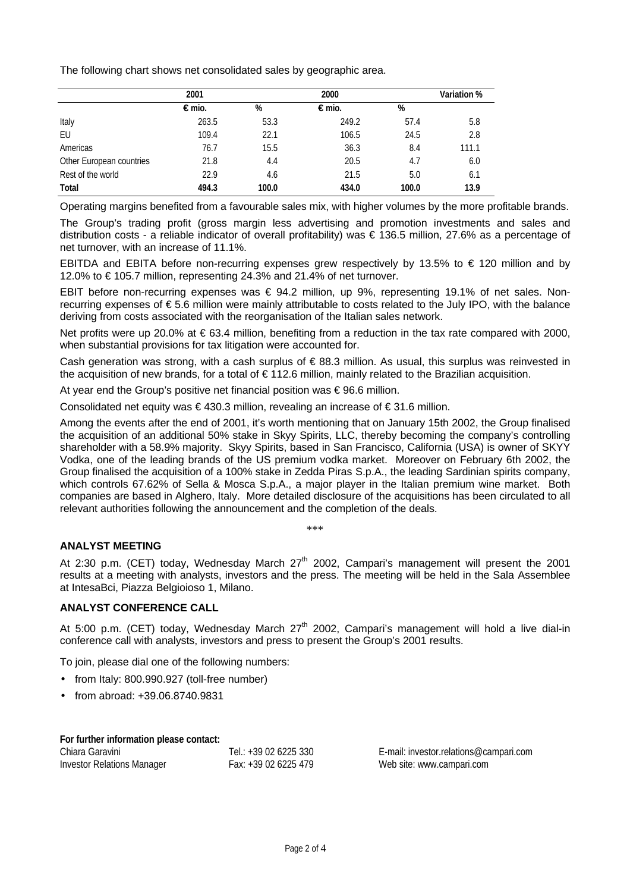The following chart shows net consolidated sales by geographic area.

|                          | 2001  |       | 2000  |       | <b>Variation</b> % |  |
|--------------------------|-------|-------|-------|-------|--------------------|--|
|                          | €mio. | %     | €mio. | %     |                    |  |
| Italy                    | 263.5 | 53.3  | 249.2 | 57.4  | 5.8                |  |
| EU                       | 109.4 | 22.1  | 106.5 | 24.5  | 2.8                |  |
| Americas                 | 76.7  | 15.5  | 36.3  | 8.4   | 111.1              |  |
| Other European countries | 21.8  | 4.4   | 20.5  | 4.7   | 6.0                |  |
| Rest of the world        | 22.9  | 4.6   | 21.5  | 5.0   | 6.1                |  |
| Total                    | 494.3 | 100.0 | 434.0 | 100.0 | 13.9               |  |

Operating margins benefited from a favourable sales mix, with higher volumes by the more profitable brands.

The Group's trading profit (gross margin less advertising and promotion investments and sales and distribution costs - a reliable indicator of overall profitability) was € 136.5 million, 27.6% as a percentage of net turnover, with an increase of 11.1%.

EBITDA and EBITA before non-recurring expenses grew respectively by 13.5% to  $\epsilon$  120 million and by 12.0% to € 105.7 million, representing 24.3% and 21.4% of net turnover.

EBIT before non-recurring expenses was € 94.2 million, up 9%, representing 19.1% of net sales. Nonrecurring expenses of € 5.6 million were mainly attributable to costs related to the July IPO, with the balance deriving from costs associated with the reorganisation of the Italian sales network.

Net profits were up 20.0% at € 63.4 million, benefiting from a reduction in the tax rate compared with 2000, when substantial provisions for tax litigation were accounted for.

Cash generation was strong, with a cash surplus of  $\epsilon$  88.3 million. As usual, this surplus was reinvested in the acquisition of new brands, for a total of € 112.6 million, mainly related to the Brazilian acquisition.

At year end the Group's positive net financial position was  $\epsilon$  96.6 million.

Consolidated net equity was  $\in$  430.3 million, revealing an increase of  $\in$  31.6 million.

Among the events after the end of 2001, it's worth mentioning that on January 15th 2002, the Group finalised the acquisition of an additional 50% stake in Skyy Spirits, LLC, thereby becoming the company's controlling shareholder with a 58.9% majority. Skyy Spirits, based in San Francisco, California (USA) is owner of SKYY Vodka, one of the leading brands of the US premium vodka market. Moreover on February 6th 2002, the Group finalised the acquisition of a 100% stake in Zedda Piras S.p.A., the leading Sardinian spirits company, which controls 67.62% of Sella & Mosca S.p.A., a major player in the Italian premium wine market. Both companies are based in Alghero, Italy. More detailed disclosure of the acquisitions has been circulated to all relevant authorities following the announcement and the completion of the deals.

\*\*\*

## **ANALYST MEETING**

At 2:30 p.m. (CET) today, Wednesday March  $27<sup>th</sup>$  2002, Campari's management will present the 2001 results at a meeting with analysts, investors and the press. The meeting will be held in the Sala Assemblee at IntesaBci, Piazza Belgioioso 1, Milano.

### **ANALYST CONFERENCE CALL**

At 5:00 p.m. (CET) today, Wednesday March 27<sup>th</sup> 2002, Campari's management will hold a live dial-in conference call with analysts, investors and press to present the Group's 2001 results.

To join, please dial one of the following numbers:

- from Italy: 800.990.927 (toll-free number)
- from abroad: +39.06.8740.9831

#### **For further information please contact:**

| Chiara Garavini                   | Tel.: +39 02 6225 330 |
|-----------------------------------|-----------------------|
| <b>Investor Relations Manager</b> | Fax: +39 02 6225 479  |

E-mail: investor.relations@campari.com Web site: www.campari.com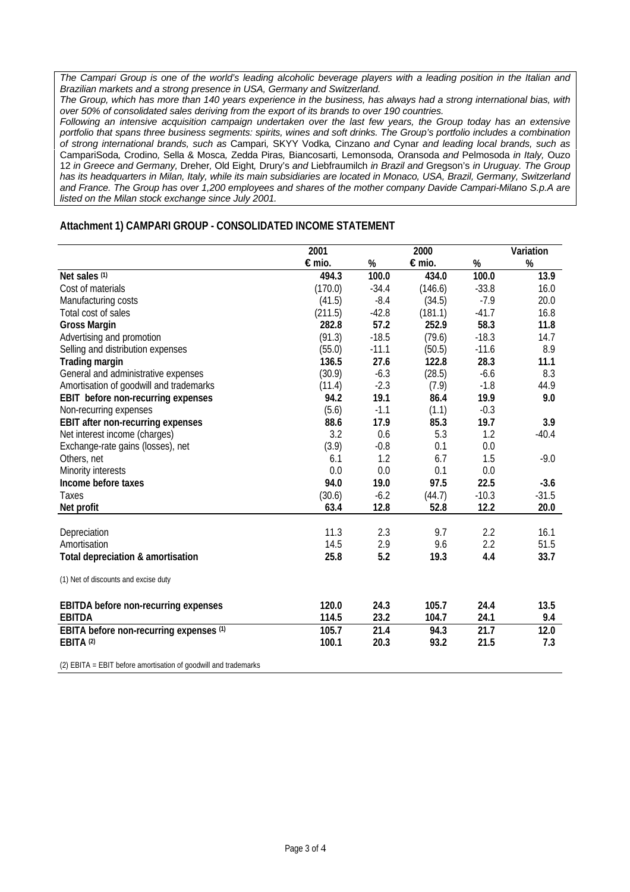*The Campari Group is one of the world's leading alcoholic beverage players with a leading position in the Italian and Brazilian markets and a strong presence in USA, Germany and Switzerland.*

*The Group, which has more than 140 years experience in the business, has always had a strong international bias, with over 50% of consolidated sales deriving from the export of its brands to over 190 countries.*

*Following an intensive acquisition campaign undertaken over the last few years, the Group today has an extensive portfolio that spans three business segments: spirits, wines and soft drinks. The Group's portfolio includes a combination of strong international brands, such as* Campari*,* SKYY Vodka*,* Cinzano *and* Cynar *and leading local brands, such as* CampariSoda*,* Crodino*,* Sella & Mosca*,* Zedda Piras*,* Biancosarti*,* Lemonsoda*,* Oransoda *and* Pelmosoda *in Italy,* Ouzo 12 *in Greece and Germany,* Dreher*,* Old Eight*,* Drury's *and* Liebfraumilch *in Brazil and* Gregson's *in Uruguay. The Group has its headquarters in Milan, Italy, while its main subsidiaries are located in Monaco, USA, Brazil, Germany, Switzerland and France. The Group has over 1,200 employees and shares of the mother company Davide Campari-Milano S.p.A are listed on the Milan stock exchange since July 2001.*

#### **Attachment 1) CAMPARI GROUP - CONSOLIDATED INCOME STATEMENT**

|                                                                 | 2001    |         | 2000    |         | Variation |
|-----------------------------------------------------------------|---------|---------|---------|---------|-----------|
|                                                                 | €mio.   | %       | €mio.   | %       | %         |
| Net sales (1)                                                   | 494.3   | 100.0   | 434.0   | 100.0   | 13.9      |
| Cost of materials                                               | (170.0) | $-34.4$ | (146.6) | $-33.8$ | 16.0      |
| Manufacturing costs                                             | (41.5)  | $-8.4$  | (34.5)  | $-7.9$  | 20.0      |
| Total cost of sales                                             | (211.5) | $-42.8$ | (181.1) | $-41.7$ | 16.8      |
| <b>Gross Margin</b>                                             | 282.8   | 57.2    | 252.9   | 58.3    | 11.8      |
| Advertising and promotion                                       | (91.3)  | $-18.5$ | (79.6)  | $-18.3$ | 14.7      |
| Selling and distribution expenses                               | (55.0)  | $-11.1$ | (50.5)  | $-11.6$ | 8.9       |
| <b>Trading margin</b>                                           | 136.5   | 27.6    | 122.8   | 28.3    | 11.1      |
| General and administrative expenses                             | (30.9)  | $-6.3$  | (28.5)  | $-6.6$  | 8.3       |
| Amortisation of goodwill and trademarks                         | (11.4)  | $-2.3$  | (7.9)   | $-1.8$  | 44.9      |
| EBIT before non-recurring expenses                              | 94.2    | 19.1    | 86.4    | 19.9    | 9.0       |
| Non-recurring expenses                                          | (5.6)   | $-1.1$  | (1.1)   | $-0.3$  |           |
| <b>EBIT after non-recurring expenses</b>                        | 88.6    | 17.9    | 85.3    | 19.7    | 3.9       |
| Net interest income (charges)                                   | 3.2     | 0.6     | 5.3     | 1.2     | $-40.4$   |
| Exchange-rate gains (losses), net                               | (3.9)   | $-0.8$  | 0.1     | 0.0     |           |
| Others, net                                                     | 6.1     | 1.2     | 6.7     | 1.5     | $-9.0$    |
| Minority interests                                              | 0.0     | 0.0     | 0.1     | 0.0     |           |
| Income before taxes                                             | 94.0    | 19.0    | 97.5    | 22.5    | $-3.6$    |
| Taxes                                                           | (30.6)  | $-6.2$  | (44.7)  | $-10.3$ | $-31.5$   |
| Net profit                                                      | 63.4    | 12.8    | 52.8    | 12.2    | 20.0      |
|                                                                 |         |         |         |         |           |
| Depreciation                                                    | 11.3    | 2.3     | 9.7     | 2.2     | 16.1      |
| Amortisation                                                    | 14.5    | 2.9     | 9.6     | 2.2     | 51.5      |
| Total depreciation & amortisation                               | 25.8    | 5.2     | 19.3    | 4.4     | 33.7      |
| (1) Net of discounts and excise duty                            |         |         |         |         |           |
| <b>EBITDA</b> before non-recurring expenses                     | 120.0   | 24.3    | 105.7   | 24.4    | 13.5      |
| <b>EBITDA</b>                                                   | 114.5   | 23.2    | 104.7   | 24.1    | 9.4       |
| EBITA before non-recurring expenses (1)                         | 105.7   | 21.4    | 94.3    | 21.7    | 12.0      |
| EBITA <sup>(2)</sup>                                            | 100.1   | 20.3    | 93.2    | 21.5    | 7.3       |
| (2) EBITA = EBIT before amortisation of goodwill and trademarks |         |         |         |         |           |